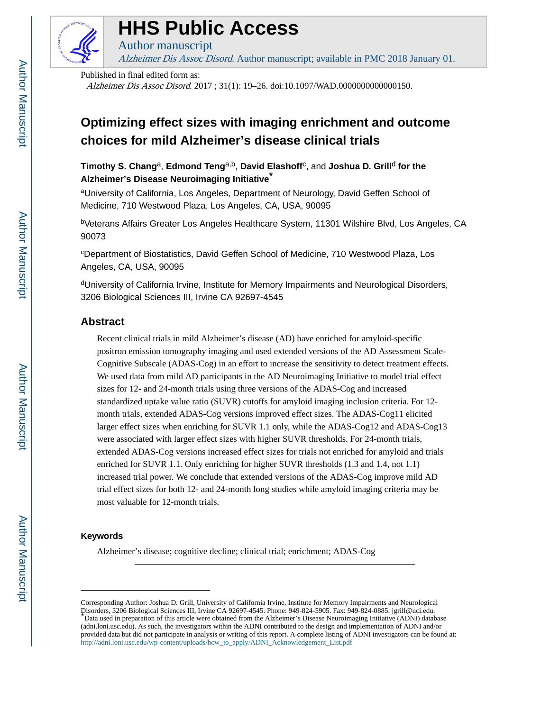

# **HHS Public Access**

Author manuscript Alzheimer Dis Assoc Disord. Author manuscript; available in PMC 2018 January 01.

Published in final edited form as:

Alzheimer Dis Assoc Disord. 2017 ; 31(1): 19–26. doi:10.1097/WAD.0000000000000150.

# **Optimizing effect sizes with imaging enrichment and outcome choices for mild Alzheimer's disease clinical trials**

 $T$ imothy S. Chang<sup>a</sup>, Edmond Teng<sup>a,b</sup>, David Elashoff<sup>c</sup>, and Joshua D. Grill<sup>d</sup> for the **Alzheimer's Disease Neuroimaging Initiative\***

aUniversity of California, Los Angeles, Department of Neurology, David Geffen School of Medicine, 710 Westwood Plaza, Los Angeles, CA, USA, 90095

<sup>b</sup>Veterans Affairs Greater Los Angeles Healthcare System, 11301 Wilshire Blvd, Los Angeles, CA 90073

<sup>c</sup>Department of Biostatistics, David Geffen School of Medicine, 710 Westwood Plaza, Los Angeles, CA, USA, 90095

<sup>d</sup>University of California Irvine, Institute for Memory Impairments and Neurological Disorders, 3206 Biological Sciences III, Irvine CA 92697-4545

# **Abstract**

Recent clinical trials in mild Alzheimer's disease (AD) have enriched for amyloid-specific positron emission tomography imaging and used extended versions of the AD Assessment Scale-Cognitive Subscale (ADAS-Cog) in an effort to increase the sensitivity to detect treatment effects. We used data from mild AD participants in the AD Neuroimaging Initiative to model trial effect sizes for 12- and 24-month trials using three versions of the ADAS-Cog and increased standardized uptake value ratio (SUVR) cutoffs for amyloid imaging inclusion criteria. For 12 month trials, extended ADAS-Cog versions improved effect sizes. The ADAS-Cog11 elicited larger effect sizes when enriching for SUVR 1.1 only, while the ADAS-Cog12 and ADAS-Cog13 were associated with larger effect sizes with higher SUVR thresholds. For 24-month trials, extended ADAS-Cog versions increased effect sizes for trials not enriched for amyloid and trials enriched for SUVR 1.1. Only enriching for higher SUVR thresholds (1.3 and 1.4, not 1.1) increased trial power. We conclude that extended versions of the ADAS-Cog improve mild AD trial effect sizes for both 12- and 24-month long studies while amyloid imaging criteria may be most valuable for 12-month trials.

#### **Keywords**

Alzheimer's disease; cognitive decline; clinical trial; enrichment; ADAS-Cog

Corresponding Author: Joshua D. Grill, University of California Irvine, Institute for Memory Impairments and Neurological Disorders, 3206 Biological Sciences III, Irvine CA 92697-4545. Phone: 949-824-5905. Fax: 949-824-0885. jgrill@uci.edu. \*Data used in preparation of this article were obtained from the Alzheimer's Disease Neuroimaging Initiative (ADNI) database (adni.loni.usc.edu). As such, the investigators within the ADNI contributed to the design and implementation of ADNI and/or provided data but did not participate in analysis or writing of this report. A complete listing of ADNI investigators can be found at: [http://adni.loni.usc.edu/wp-content/uploads/how\\_to\\_apply/ADNI\\_Acknowledgement\\_List.pdf](http://adni.loni.usc.edu/wp-content/uploads/how_to_apply/ADNI_Acknowledgement_List.pdf)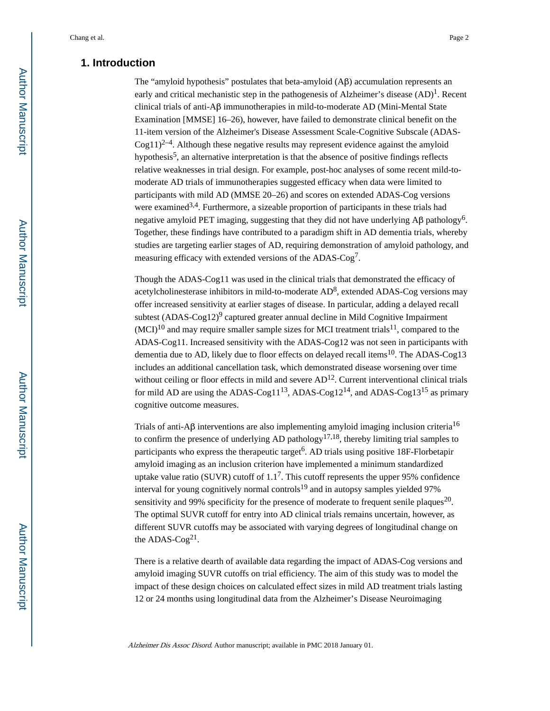# **1. Introduction**

The "amyloid hypothesis" postulates that beta-amyloid  $(A\beta)$  accumulation represents an early and critical mechanistic step in the pathogenesis of Alzheimer's disease  $(AD)^1$ . Recent clinical trials of anti-Aβ immunotherapies in mild-to-moderate AD (Mini-Mental State Examination [MMSE] 16–26), however, have failed to demonstrate clinical benefit on the 11-item version of the Alzheimer's Disease Assessment Scale-Cognitive Subscale (ADAS- $Cog11)^{2-4}$ . Although these negative results may represent evidence against the amyloid hypothesis<sup>5</sup>, an alternative interpretation is that the absence of positive findings reflects relative weaknesses in trial design. For example, post-hoc analyses of some recent mild-tomoderate AD trials of immunotherapies suggested efficacy when data were limited to participants with mild AD (MMSE 20–26) and scores on extended ADAS-Cog versions were examined<sup>3,4</sup>. Furthermore, a sizeable proportion of participants in these trials had negative amyloid PET imaging, suggesting that they did not have underlying  $\mathsf{A}\beta$  pathology<sup>6</sup>. Together, these findings have contributed to a paradigm shift in AD dementia trials, whereby studies are targeting earlier stages of AD, requiring demonstration of amyloid pathology, and measuring efficacy with extended versions of the ADAS-Cog<sup>7</sup>.

Though the ADAS-Cog11 was used in the clinical trials that demonstrated the efficacy of acetylcholinesterase inhibitors in mild-to-moderate  $AD^8$ , extended ADAS-Cog versions may offer increased sensitivity at earlier stages of disease. In particular, adding a delayed recall subtest (ADAS-Cog12)<sup>9</sup> captured greater annual decline in Mild Cognitive Impairment  $(MCI)<sup>10</sup>$  and may require smaller sample sizes for MCI treatment trials<sup>11</sup>, compared to the ADAS-Cog11. Increased sensitivity with the ADAS-Cog12 was not seen in participants with dementia due to AD, likely due to floor effects on delayed recall items<sup>10</sup>. The ADAS-Cog13 includes an additional cancellation task, which demonstrated disease worsening over time without ceiling or floor effects in mild and severe  $AD<sup>12</sup>$ . Current interventional clinical trials for mild AD are using the ADAS-Cog11<sup>13</sup>, ADAS-Cog12<sup>14</sup>, and ADAS-Cog13<sup>15</sup> as primary cognitive outcome measures.

Trials of anti-Aβ interventions are also implementing amyloid imaging inclusion criteria<sup>16</sup> to confirm the presence of underlying AD pathology<sup>17,18</sup>, thereby limiting trial samples to participants who express the therapeutic target<sup>6</sup>. AD trials using positive 18F-Florbetapir amyloid imaging as an inclusion criterion have implemented a minimum standardized uptake value ratio (SUVR) cutoff of  $1.1<sup>7</sup>$ . This cutoff represents the upper 95% confidence interval for young cognitively normal controls<sup>19</sup> and in autopsy samples yielded 97% sensitivity and 99% specificity for the presence of moderate to frequent senile plaques<sup>20</sup>. The optimal SUVR cutoff for entry into AD clinical trials remains uncertain, however, as different SUVR cutoffs may be associated with varying degrees of longitudinal change on the ADAS- $Cog<sup>21</sup>$ .

There is a relative dearth of available data regarding the impact of ADAS-Cog versions and amyloid imaging SUVR cutoffs on trial efficiency. The aim of this study was to model the impact of these design choices on calculated effect sizes in mild AD treatment trials lasting 12 or 24 months using longitudinal data from the Alzheimer's Disease Neuroimaging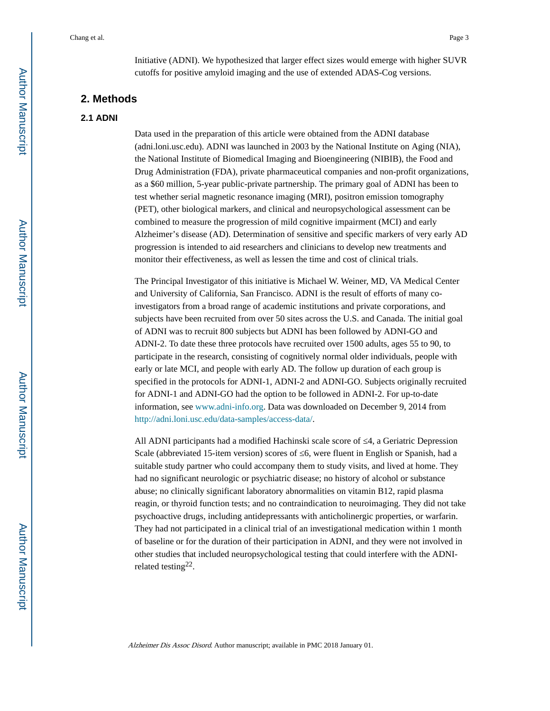Initiative (ADNI). We hypothesized that larger effect sizes would emerge with higher SUVR cutoffs for positive amyloid imaging and the use of extended ADAS-Cog versions.

# **2. Methods**

#### **2.1 ADNI**

Data used in the preparation of this article were obtained from the ADNI database (adni.loni.usc.edu). ADNI was launched in 2003 by the National Institute on Aging (NIA), the National Institute of Biomedical Imaging and Bioengineering (NIBIB), the Food and Drug Administration (FDA), private pharmaceutical companies and non-profit organizations, as a \$60 million, 5-year public-private partnership. The primary goal of ADNI has been to test whether serial magnetic resonance imaging (MRI), positron emission tomography (PET), other biological markers, and clinical and neuropsychological assessment can be combined to measure the progression of mild cognitive impairment (MCI) and early Alzheimer's disease (AD). Determination of sensitive and specific markers of very early AD progression is intended to aid researchers and clinicians to develop new treatments and monitor their effectiveness, as well as lessen the time and cost of clinical trials.

The Principal Investigator of this initiative is Michael W. Weiner, MD, VA Medical Center and University of California, San Francisco. ADNI is the result of efforts of many coinvestigators from a broad range of academic institutions and private corporations, and subjects have been recruited from over 50 sites across the U.S. and Canada. The initial goal of ADNI was to recruit 800 subjects but ADNI has been followed by ADNI-GO and ADNI-2. To date these three protocols have recruited over 1500 adults, ages 55 to 90, to participate in the research, consisting of cognitively normal older individuals, people with early or late MCI, and people with early AD. The follow up duration of each group is specified in the protocols for ADNI-1, ADNI-2 and ADNI-GO. Subjects originally recruited for ADNI-1 and ADNI-GO had the option to be followed in ADNI-2. For up-to-date information, see www.adni-info.org. Data was downloaded on December 9, 2014 from <http://adni.loni.usc.edu/data-samples/access-data/>.

All ADNI participants had a modified Hachinski scale score of 4, a Geriatric Depression Scale (abbreviated 15-item version) scores of 6, were fluent in English or Spanish, had a suitable study partner who could accompany them to study visits, and lived at home. They had no significant neurologic or psychiatric disease; no history of alcohol or substance abuse; no clinically significant laboratory abnormalities on vitamin B12, rapid plasma reagin, or thyroid function tests; and no contraindication to neuroimaging. They did not take psychoactive drugs, including antidepressants with anticholinergic properties, or warfarin. They had not participated in a clinical trial of an investigational medication within 1 month of baseline or for the duration of their participation in ADNI, and they were not involved in other studies that included neuropsychological testing that could interfere with the ADNIrelated testing<sup>22</sup>.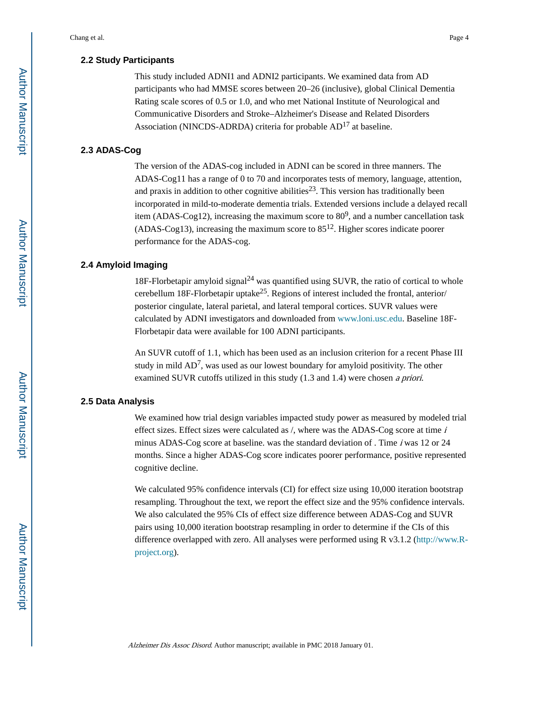#### **2.2 Study Participants**

This study included ADNI1 and ADNI2 participants. We examined data from AD participants who had MMSE scores between 20–26 (inclusive), global Clinical Dementia Rating scale scores of 0.5 or 1.0, and who met National Institute of Neurological and Communicative Disorders and Stroke–Alzheimer's Disease and Related Disorders Association (NINCDS-ADRDA) criteria for probable AD<sup>17</sup> at baseline.

#### **2.3 ADAS-Cog**

The version of the ADAS-cog included in ADNI can be scored in three manners. The ADAS-Cog11 has a range of 0 to 70 and incorporates tests of memory, language, attention, and praxis in addition to other cognitive abilities<sup>23</sup>. This version has traditionally been incorporated in mild-to-moderate dementia trials. Extended versions include a delayed recall item (ADAS-Cog12), increasing the maximum score to  $80^9$ , and a number cancellation task (ADAS-Cog13), increasing the maximum score to  $85^{12}$ . Higher scores indicate poorer performance for the ADAS-cog.

#### **2.4 Amyloid Imaging**

18F-Florbetapir amyloid signal<sup>24</sup> was quantified using SUVR, the ratio of cortical to whole cerebellum 18F-Florbetapir uptake<sup>25</sup>. Regions of interest included the frontal, anterior/ posterior cingulate, lateral parietal, and lateral temporal cortices. SUVR values were calculated by ADNI investigators and downloaded from www.loni.usc.edu. Baseline 18F-Florbetapir data were available for 100 ADNI participants.

An SUVR cutoff of 1.1, which has been used as an inclusion criterion for a recent Phase III study in mild  $AD^7$ , was used as our lowest boundary for amyloid positivity. The other examined SUVR cutoffs utilized in this study (1.3 and 1.4) were chosen a priori.

#### **2.5 Data Analysis**

We examined how trial design variables impacted study power as measured by modeled trial effect sizes. Effect sizes were calculated as  $/$ , where was the ADAS-Cog score at time  $i$ minus ADAS-Cog score at baseline. was the standard deviation of . Time  $\dot{i}$  was 12 or 24 months. Since a higher ADAS-Cog score indicates poorer performance, positive represented cognitive decline.

We calculated 95% confidence intervals (CI) for effect size using 10,000 iteration bootstrap resampling. Throughout the text, we report the effect size and the 95% confidence intervals. We also calculated the 95% CIs of effect size difference between ADAS-Cog and SUVR pairs using 10,000 iteration bootstrap resampling in order to determine if the CIs of this difference overlapped with zero. All analyses were performed using R v3.1.2 ([http://www.R](http://www.R-project.org)[project.org](http://www.R-project.org)).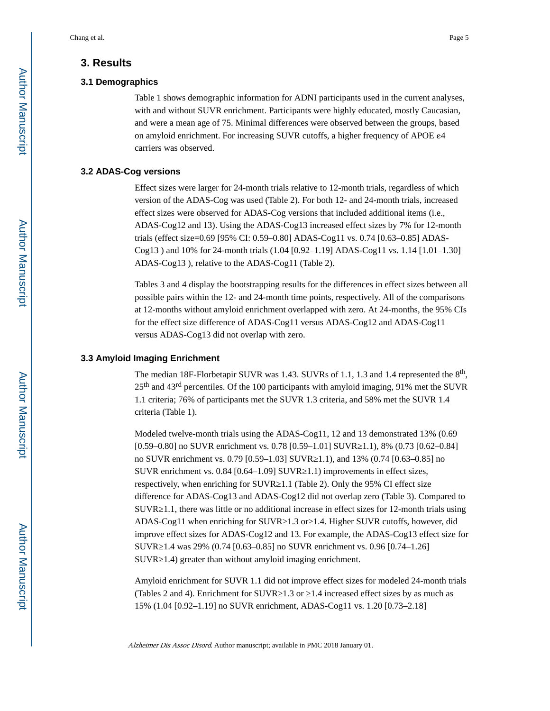#### **3. Results**

#### **3.1 Demographics**

Table 1 shows demographic information for ADNI participants used in the current analyses, with and without SUVR enrichment. Participants were highly educated, mostly Caucasian, and were a mean age of 75. Minimal differences were observed between the groups, based on amyloid enrichment. For increasing SUVR cutoffs, a higher frequency of APOE ε4 carriers was observed.

#### **3.2 ADAS-Cog versions**

Effect sizes were larger for 24-month trials relative to 12-month trials, regardless of which version of the ADAS-Cog was used (Table 2). For both 12- and 24-month trials, increased effect sizes were observed for ADAS-Cog versions that included additional items (i.e., ADAS-Cog12 and 13). Using the ADAS-Cog13 increased effect sizes by 7% for 12-month trials (effect size=0.69 [95% CI: 0.59–0.80] ADAS-Cog11 vs. 0.74 [0.63–0.85] ADAS-Cog13 ) and 10% for 24-month trials (1.04 [0.92–1.19] ADAS-Cog11 vs. 1.14 [1.01–1.30] ADAS-Cog13 ), relative to the ADAS-Cog11 (Table 2).

Tables 3 and 4 display the bootstrapping results for the differences in effect sizes between all possible pairs within the 12- and 24-month time points, respectively. All of the comparisons at 12-months without amyloid enrichment overlapped with zero. At 24-months, the 95% CIs for the effect size difference of ADAS-Cog11 versus ADAS-Cog12 and ADAS-Cog11 versus ADAS-Cog13 did not overlap with zero.

#### **3.3 Amyloid Imaging Enrichment**

The median 18F-Florbetapir SUVR was 1.43. SUVRs of 1.1, 1.3 and 1.4 represented the  $8<sup>th</sup>$ , 25th and 43rd percentiles. Of the 100 participants with amyloid imaging, 91% met the SUVR 1.1 criteria; 76% of participants met the SUVR 1.3 criteria, and 58% met the SUVR 1.4 criteria (Table 1).

Modeled twelve-month trials using the ADAS-Cog11, 12 and 13 demonstrated 13% (0.69 [0.59–0.80] no SUVR enrichment vs. 0.78 [0.59–1.01] SUVR 1.1), 8% (0.73 [0.62–0.84] no SUVR enrichment vs. 0.79 [0.59–1.03] SUVR 1.1), and 13% (0.74 [0.63–0.85] no SUVR enrichment vs.  $0.84$  [0.64–1.09] SUVR 1.1) improvements in effect sizes, respectively, when enriching for SUVR≥1.1 (Table 2). Only the 95% CI effect size difference for ADAS-Cog13 and ADAS-Cog12 did not overlap zero (Table 3). Compared to SUVR 1.1, there was little or no additional increase in effect sizes for 12-month trials using ADAS-Cog11 when enriching for SUVR≥1.3 or≥1.4. Higher SUVR cutoffs, however, did improve effect sizes for ADAS-Cog12 and 13. For example, the ADAS-Cog13 effect size for SUVR 1.4 was 29% (0.74 [0.63–0.85] no SUVR enrichment vs. 0.96 [0.74–1.26] SUVR 1.4) greater than without amyloid imaging enrichment.

Amyloid enrichment for SUVR 1.1 did not improve effect sizes for modeled 24-month trials (Tables 2 and 4). Enrichment for SUVR  $1.3$  or  $1.4$  increased effect sizes by as much as 15% (1.04 [0.92–1.19] no SUVR enrichment, ADAS-Cog11 vs. 1.20 [0.73–2.18]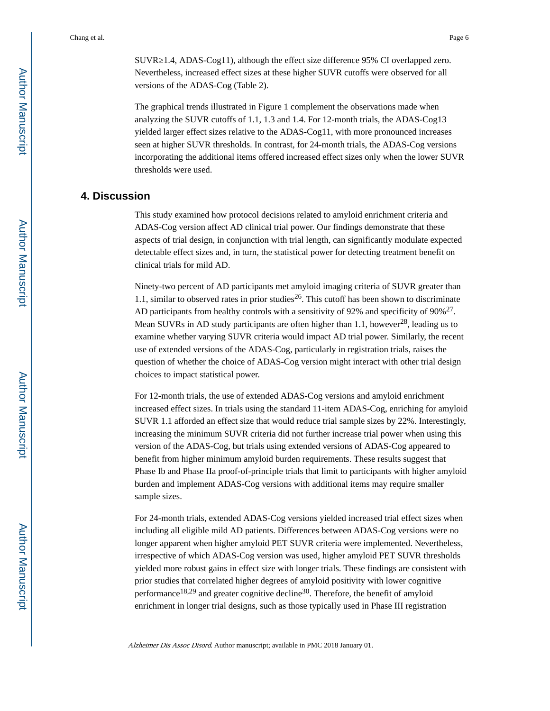SUVR 1.4, ADAS-Cog11), although the effect size difference 95% CI overlapped zero. Nevertheless, increased effect sizes at these higher SUVR cutoffs were observed for all versions of the ADAS-Cog (Table 2).

The graphical trends illustrated in Figure 1 complement the observations made when analyzing the SUVR cutoffs of 1.1, 1.3 and 1.4. For 12-month trials, the ADAS-Cog13 yielded larger effect sizes relative to the ADAS-Cog11, with more pronounced increases seen at higher SUVR thresholds. In contrast, for 24-month trials, the ADAS-Cog versions incorporating the additional items offered increased effect sizes only when the lower SUVR thresholds were used.

# **4. Discussion**

This study examined how protocol decisions related to amyloid enrichment criteria and ADAS-Cog version affect AD clinical trial power. Our findings demonstrate that these aspects of trial design, in conjunction with trial length, can significantly modulate expected detectable effect sizes and, in turn, the statistical power for detecting treatment benefit on clinical trials for mild AD.

Ninety-two percent of AD participants met amyloid imaging criteria of SUVR greater than 1.1, similar to observed rates in prior studies<sup>26</sup>. This cutoff has been shown to discriminate AD participants from healthy controls with a sensitivity of 92% and specificity of  $90\%^{27}$ . Mean SUVRs in AD study participants are often higher than 1.1, however<sup>28</sup>, leading us to examine whether varying SUVR criteria would impact AD trial power. Similarly, the recent use of extended versions of the ADAS-Cog, particularly in registration trials, raises the question of whether the choice of ADAS-Cog version might interact with other trial design choices to impact statistical power.

For 12-month trials, the use of extended ADAS-Cog versions and amyloid enrichment increased effect sizes. In trials using the standard 11-item ADAS-Cog, enriching for amyloid SUVR 1.1 afforded an effect size that would reduce trial sample sizes by 22%. Interestingly, increasing the minimum SUVR criteria did not further increase trial power when using this version of the ADAS-Cog, but trials using extended versions of ADAS-Cog appeared to benefit from higher minimum amyloid burden requirements. These results suggest that Phase Ib and Phase IIa proof-of-principle trials that limit to participants with higher amyloid burden and implement ADAS-Cog versions with additional items may require smaller sample sizes.

For 24-month trials, extended ADAS-Cog versions yielded increased trial effect sizes when including all eligible mild AD patients. Differences between ADAS-Cog versions were no longer apparent when higher amyloid PET SUVR criteria were implemented. Nevertheless, irrespective of which ADAS-Cog version was used, higher amyloid PET SUVR thresholds yielded more robust gains in effect size with longer trials. These findings are consistent with prior studies that correlated higher degrees of amyloid positivity with lower cognitive performance<sup>18,29</sup> and greater cognitive decline<sup>30</sup>. Therefore, the benefit of amyloid enrichment in longer trial designs, such as those typically used in Phase III registration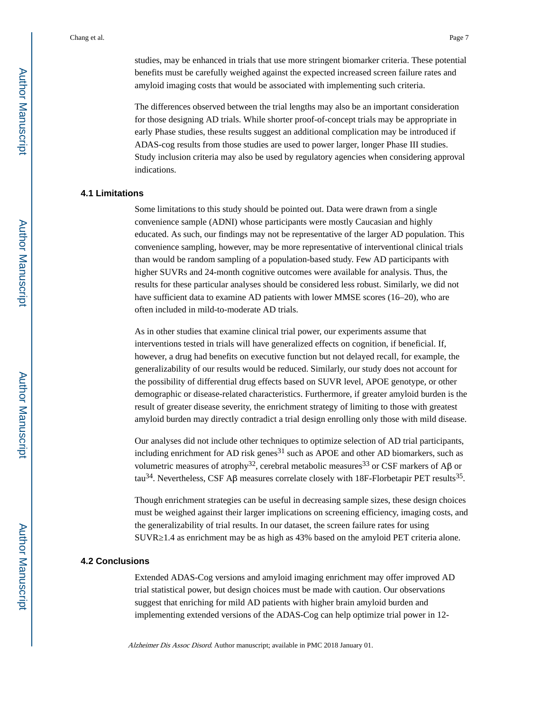studies, may be enhanced in trials that use more stringent biomarker criteria. These potential benefits must be carefully weighed against the expected increased screen failure rates and amyloid imaging costs that would be associated with implementing such criteria.

The differences observed between the trial lengths may also be an important consideration for those designing AD trials. While shorter proof-of-concept trials may be appropriate in early Phase studies, these results suggest an additional complication may be introduced if ADAS-cog results from those studies are used to power larger, longer Phase III studies. Study inclusion criteria may also be used by regulatory agencies when considering approval indications.

# **4.1 Limitations**

Some limitations to this study should be pointed out. Data were drawn from a single convenience sample (ADNI) whose participants were mostly Caucasian and highly educated. As such, our findings may not be representative of the larger AD population. This convenience sampling, however, may be more representative of interventional clinical trials than would be random sampling of a population-based study. Few AD participants with higher SUVRs and 24-month cognitive outcomes were available for analysis. Thus, the results for these particular analyses should be considered less robust. Similarly, we did not have sufficient data to examine AD patients with lower MMSE scores (16–20), who are often included in mild-to-moderate AD trials.

As in other studies that examine clinical trial power, our experiments assume that interventions tested in trials will have generalized effects on cognition, if beneficial. If, however, a drug had benefits on executive function but not delayed recall, for example, the generalizability of our results would be reduced. Similarly, our study does not account for the possibility of differential drug effects based on SUVR level, APOE genotype, or other demographic or disease-related characteristics. Furthermore, if greater amyloid burden is the result of greater disease severity, the enrichment strategy of limiting to those with greatest amyloid burden may directly contradict a trial design enrolling only those with mild disease.

Our analyses did not include other techniques to optimize selection of AD trial participants, including enrichment for AD risk genes<sup>31</sup> such as APOE and other AD biomarkers, such as volumetric measures of atrophy<sup>32</sup>, cerebral metabolic measures<sup>33</sup> or CSF markers of Aβ or tau<sup>34</sup>. Nevertheless, CSF A $\beta$  measures correlate closely with 18F-Florbetapir PET results<sup>35</sup>.

Though enrichment strategies can be useful in decreasing sample sizes, these design choices must be weighed against their larger implications on screening efficiency, imaging costs, and the generalizability of trial results. In our dataset, the screen failure rates for using SUVR 1.4 as enrichment may be as high as 43% based on the amyloid PET criteria alone.

#### **4.2 Conclusions**

Extended ADAS-Cog versions and amyloid imaging enrichment may offer improved AD trial statistical power, but design choices must be made with caution. Our observations suggest that enriching for mild AD patients with higher brain amyloid burden and implementing extended versions of the ADAS-Cog can help optimize trial power in 12-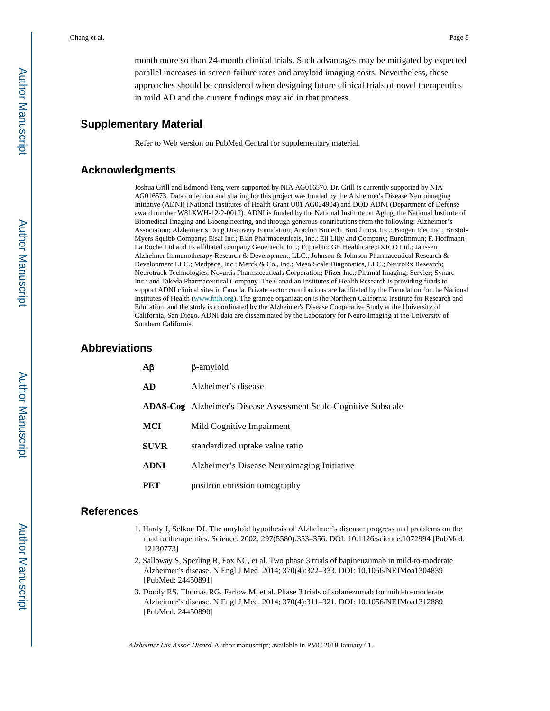month more so than 24-month clinical trials. Such advantages may be mitigated by expected parallel increases in screen failure rates and amyloid imaging costs. Nevertheless, these approaches should be considered when designing future clinical trials of novel therapeutics in mild AD and the current findings may aid in that process.

# **Supplementary Material**

Refer to Web version on PubMed Central for supplementary material.

# **Acknowledgments**

Joshua Grill and Edmond Teng were supported by NIA AG016570. Dr. Grill is currently supported by NIA AG016573. Data collection and sharing for this project was funded by the Alzheimer's Disease Neuroimaging Initiative (ADNI) (National Institutes of Health Grant U01 AG024904) and DOD ADNI (Department of Defense award number W81XWH-12-2-0012). ADNI is funded by the National Institute on Aging, the National Institute of Biomedical Imaging and Bioengineering, and through generous contributions from the following: Alzheimer's Association; Alzheimer's Drug Discovery Foundation; Araclon Biotech; BioClinica, Inc.; Biogen Idec Inc.; Bristol-Myers Squibb Company; Eisai Inc.; Elan Pharmaceuticals, Inc.; Eli Lilly and Company; EuroImmun; F. Hoffmann-La Roche Ltd and its affiliated company Genentech, Inc.; Fujirebio; GE Healthcare;;IXICO Ltd.; Janssen Alzheimer Immunotherapy Research & Development, LLC.; Johnson & Johnson Pharmaceutical Research & Development LLC.; Medpace, Inc.; Merck & Co., Inc.; Meso Scale Diagnostics, LLC.; NeuroRx Research; Neurotrack Technologies; Novartis Pharmaceuticals Corporation; Pfizer Inc.; Piramal Imaging; Servier; Synarc Inc.; and Takeda Pharmaceutical Company. The Canadian Institutes of Health Research is providing funds to support ADNI clinical sites in Canada. Private sector contributions are facilitated by the Foundation for the National Institutes of Health (www.fnih.org). The grantee organization is the Northern California Institute for Research and Education, and the study is coordinated by the Alzheimer's Disease Cooperative Study at the University of California, San Diego. ADNI data are disseminated by the Laboratory for Neuro Imaging at the University of Southern California.

# **Abbreviations**

| $A\beta$    | β-amyloid                                                               |
|-------------|-------------------------------------------------------------------------|
| AD          | Alzheimer's disease                                                     |
|             | <b>ADAS-Cog</b> Alzheimer's Disease Assessment Scale-Cognitive Subscale |
| <b>MCI</b>  | Mild Cognitive Impairment                                               |
| <b>SUVR</b> | standardized uptake value ratio                                         |
| <b>ADNI</b> | Alzheimer's Disease Neuroimaging Initiative                             |
| <b>PET</b>  | positron emission tomography                                            |

# **References**

- 1. Hardy J, Selkoe DJ. The amyloid hypothesis of Alzheimer's disease: progress and problems on the road to therapeutics. Science. 2002; 297(5580):353–356. DOI: 10.1126/science.1072994 [PubMed: 12130773]
- 2. Salloway S, Sperling R, Fox NC, et al. Two phase 3 trials of bapineuzumab in mild-to-moderate Alzheimer's disease. N Engl J Med. 2014; 370(4):322–333. DOI: 10.1056/NEJMoa1304839 [PubMed: 24450891]
- 3. Doody RS, Thomas RG, Farlow M, et al. Phase 3 trials of solanezumab for mild-to-moderate Alzheimer's disease. N Engl J Med. 2014; 370(4):311–321. DOI: 10.1056/NEJMoa1312889 [PubMed: 24450890]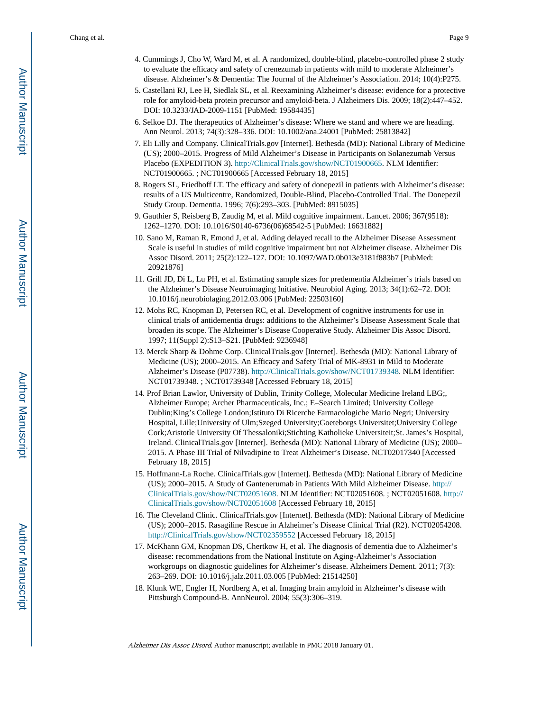- 4. Cummings J, Cho W, Ward M, et al. A randomized, double-blind, placebo-controlled phase 2 study to evaluate the efficacy and safety of crenezumab in patients with mild to moderate Alzheimer's disease. Alzheimer's & Dementia: The Journal of the Alzheimer's Association. 2014; 10(4):P275.
- 5. Castellani RJ, Lee H, Siedlak SL, et al. Reexamining Alzheimer's disease: evidence for a protective role for amyloid-beta protein precursor and amyloid-beta. J Alzheimers Dis. 2009; 18(2):447–452. DOI: 10.3233/JAD-2009-1151 [PubMed: 19584435]
- 6. Selkoe DJ. The therapeutics of Alzheimer's disease: Where we stand and where we are heading. Ann Neurol. 2013; 74(3):328–336. DOI: 10.1002/ana.24001 [PubMed: 25813842]
- 7. Eli Lilly and Company. ClinicalTrials.gov [Internet]. Bethesda (MD): National Library of Medicine (US); 2000–2015. Progress of Mild Alzheimer's Disease in Participants on Solanezumab Versus Placebo (EXPEDITION 3). [http://ClinicalTrials.gov/show/NCT01900665.](http://ClinicalTrials.gov/show/NCT01900665) NLM Identifier: NCT01900665. ; NCT01900665 [Accessed February 18, 2015]
- 8. Rogers SL, Friedhoff LT. The efficacy and safety of donepezil in patients with Alzheimer's disease: results of a US Multicentre, Randomized, Double-Blind, Placebo-Controlled Trial. The Donepezil Study Group. Dementia. 1996; 7(6):293–303. [PubMed: 8915035]
- 9. Gauthier S, Reisberg B, Zaudig M, et al. Mild cognitive impairment. Lancet. 2006; 367(9518): 1262–1270. DOI: 10.1016/S0140-6736(06)68542-5 [PubMed: 16631882]
- 10. Sano M, Raman R, Emond J, et al. Adding delayed recall to the Alzheimer Disease Assessment Scale is useful in studies of mild cognitive impairment but not Alzheimer disease. Alzheimer Dis Assoc Disord. 2011; 25(2):122–127. DOI: 10.1097/WAD.0b013e3181f883b7 [PubMed: 20921876]
- 11. Grill JD, Di L, Lu PH, et al. Estimating sample sizes for predementia Alzheimer's trials based on the Alzheimer's Disease Neuroimaging Initiative. Neurobiol Aging. 2013; 34(1):62–72. DOI: 10.1016/j.neurobiolaging.2012.03.006 [PubMed: 22503160]
- 12. Mohs RC, Knopman D, Petersen RC, et al. Development of cognitive instruments for use in clinical trials of antidementia drugs: additions to the Alzheimer's Disease Assessment Scale that broaden its scope. The Alzheimer's Disease Cooperative Study. Alzheimer Dis Assoc Disord. 1997; 11(Suppl 2):S13–S21. [PubMed: 9236948]
- 13. Merck Sharp & Dohme Corp. ClinicalTrials.gov [Internet]. Bethesda (MD): National Library of Medicine (US); 2000–2015. An Efficacy and Safety Trial of MK-8931 in Mild to Moderate Alzheimer's Disease (P07738). <http://ClinicalTrials.gov/show/NCT01739348>. NLM Identifier: NCT01739348. ; NCT01739348 [Accessed February 18, 2015]
- 14. Prof Brian Lawlor, University of Dublin, Trinity College, Molecular Medicine Ireland LBG;, Alzheimer Europe; Archer Pharmaceuticals, Inc.; E–Search Limited; University College Dublin;King's College London;Istituto Di Ricerche Farmacologiche Mario Negri; University Hospital, Lille;University of Ulm;Szeged University;Goeteborgs Universitet;University College Cork;Aristotle University Of Thessaloniki;Stichting Katholieke Universiteit;St. James's Hospital, Ireland. ClinicalTrials.gov [Internet]. Bethesda (MD): National Library of Medicine (US); 2000– 2015. A Phase III Trial of Nilvadipine to Treat Alzheimer's Disease. NCT02017340 [Accessed February 18, 2015]
- 15. Hoffmann-La Roche. ClinicalTrials.gov [Internet]. Bethesda (MD): National Library of Medicine (US); 2000–2015. A Study of Gantenerumab in Patients With Mild Alzheimer Disease. [http://](http://ClinicalTrials.gov/show/NCT02051608) [ClinicalTrials.gov/show/NCT02051608.](http://ClinicalTrials.gov/show/NCT02051608) NLM Identifier: NCT02051608. ; NCT02051608. [http://](http://ClinicalTrials.gov/show/NCT02051608) [ClinicalTrials.gov/show/NCT02051608](http://ClinicalTrials.gov/show/NCT02051608) [Accessed February 18, 2015]
- 16. The Cleveland Clinic. ClinicalTrials.gov [Internet]. Bethesda (MD): National Library of Medicine (US); 2000–2015. Rasagiline Rescue in Alzheimer's Disease Clinical Trial (R2). NCT02054208. <http://ClinicalTrials.gov/show/NCT02359552> [Accessed February 18, 2015]
- 17. McKhann GM, Knopman DS, Chertkow H, et al. The diagnosis of dementia due to Alzheimer's disease: recommendations from the National Institute on Aging-Alzheimer's Association workgroups on diagnostic guidelines for Alzheimer's disease. Alzheimers Dement. 2011; 7(3): 263–269. DOI: 10.1016/j.jalz.2011.03.005 [PubMed: 21514250]
- 18. Klunk WE, Engler H, Nordberg A, et al. Imaging brain amyloid in Alzheimer's disease with Pittsburgh Compound-B. AnnNeurol. 2004; 55(3):306–319.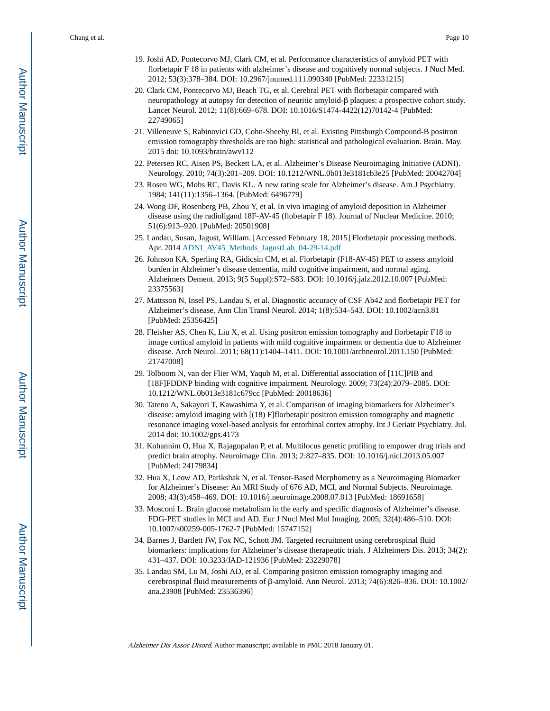- 19. Joshi AD, Pontecorvo MJ, Clark CM, et al. Performance characteristics of amyloid PET with florbetapir F 18 in patients with alzheimer's disease and cognitively normal subjects. J Nucl Med. 2012; 53(3):378–384. DOI: 10.2967/jnumed.111.090340 [PubMed: 22331215]
- 20. Clark CM, Pontecorvo MJ, Beach TG, et al. Cerebral PET with florbetapir compared with neuropathology at autopsy for detection of neuritic amyloid-β plaques: a prospective cohort study. Lancet Neurol. 2012; 11(8):669–678. DOI: 10.1016/S1474-4422(12)70142-4 [PubMed: 22749065]
- 21. Villeneuve S, Rabinovici GD, Cohn-Sheehy BI, et al. Existing Pittsburgh Compound-B positron emission tomography thresholds are too high: statistical and pathological evaluation. Brain. May. 2015 doi: 10.1093/brain/awv112
- 22. Petersen RC, Aisen PS, Beckett LA, et al. Alzheimer's Disease Neuroimaging Initiative (ADNI). Neurology. 2010; 74(3):201–209. DOI: 10.1212/WNL.0b013e3181cb3e25 [PubMed: 20042704]
- 23. Rosen WG, Mohs RC, Davis KL. A new rating scale for Alzheimer's disease. Am J Psychiatry. 1984; 141(11):1356–1364. [PubMed: 6496779]
- 24. Wong DF, Rosenberg PB, Zhou Y, et al. In vivo imaging of amyloid deposition in Alzheimer disease using the radioligand 18F-AV-45 (flobetapir F 18). Journal of Nuclear Medicine. 2010; 51(6):913–920. [PubMed: 20501908]
- 25. Landau, Susan, Jagust, William. [Accessed February 18, 2015] Florbetapir processing methods. Apr. 2014 ADNI\_AV45\_Methods\_JagustLab\_04-29-14.pdf
- 26. Johnson KA, Sperling RA, Gidicsin CM, et al. Florbetapir (F18-AV-45) PET to assess amyloid burden in Alzheimer's disease dementia, mild cognitive impairment, and normal aging. Alzheimers Dement. 2013; 9(5 Suppl):S72–S83. DOI: 10.1016/j.jalz.2012.10.007 [PubMed: 23375563]
- 27. Mattsson N, Insel PS, Landau S, et al. Diagnostic accuracy of CSF Ab42 and florbetapir PET for Alzheimer's disease. Ann Clin Transl Neurol. 2014; 1(8):534–543. DOI: 10.1002/acn3.81 [PubMed: 25356425]
- 28. Fleisher AS, Chen K, Liu X, et al. Using positron emission tomography and florbetapir F18 to image cortical amyloid in patients with mild cognitive impairment or dementia due to Alzheimer disease. Arch Neurol. 2011; 68(11):1404–1411. DOI: 10.1001/archneurol.2011.150 [PubMed: 21747008]
- 29. Tolboom N, van der Flier WM, Yaqub M, et al. Differential association of [11C]PIB and [18F]FDDNP binding with cognitive impairment. Neurology. 2009; 73(24):2079–2085. DOI: 10.1212/WNL.0b013e3181c679cc [PubMed: 20018636]
- 30. Tateno A, Sakayori T, Kawashima Y, et al. Comparison of imaging biomarkers for Alzheimer's disease: amyloid imaging with [(18) F]florbetapir positron emission tomography and magnetic resonance imaging voxel-based analysis for entorhinal cortex atrophy. Int J Geriatr Psychiatry. Jul. 2014 doi: 10.1002/gps.4173
- 31. Kohannim O, Hua X, Rajagopalan P, et al. Multilocus genetic profiling to empower drug trials and predict brain atrophy. Neuroimage Clin. 2013; 2:827–835. DOI: 10.1016/j.nicl.2013.05.007 [PubMed: 24179834]
- 32. Hua X, Leow AD, Parikshak N, et al. Tensor-Based Morphometry as a Neuroimaging Biomarker for Alzheimer's Disease: An MRI Study of 676 AD, MCI, and Normal Subjects. Neuroimage. 2008; 43(3):458–469. DOI: 10.1016/j.neuroimage.2008.07.013 [PubMed: 18691658]
- 33. Mosconi L. Brain glucose metabolism in the early and specific diagnosis of Alzheimer's disease. FDG-PET studies in MCI and AD. Eur J Nucl Med Mol Imaging. 2005; 32(4):486–510. DOI: 10.1007/s00259-005-1762-7 [PubMed: 15747152]
- 34. Barnes J, Bartlett JW, Fox NC, Schott JM. Targeted recruitment using cerebrospinal fluid biomarkers: implications for Alzheimer's disease therapeutic trials. J Alzheimers Dis. 2013; 34(2): 431–437. DOI: 10.3233/JAD-121936 [PubMed: 23229078]
- 35. Landau SM, Lu M, Joshi AD, et al. Comparing positron emission tomography imaging and cerebrospinal fluid measurements of β-amyloid. Ann Neurol. 2013; 74(6):826–836. DOI: 10.1002/ ana.23908 [PubMed: 23536396]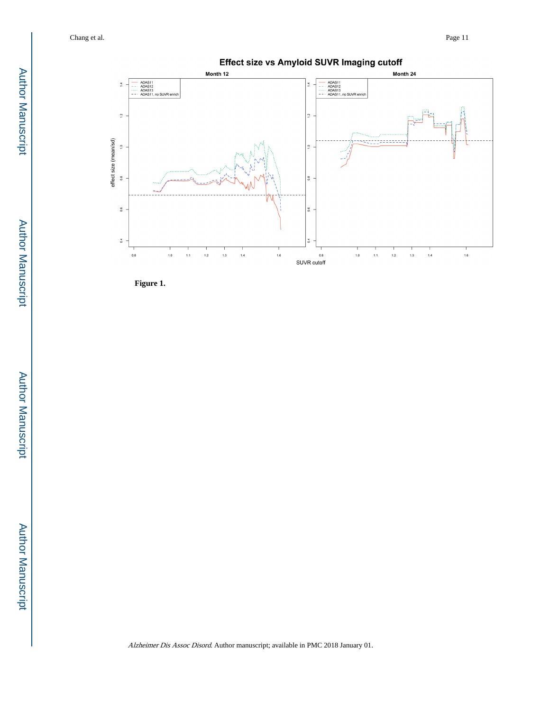

**Figure 1.**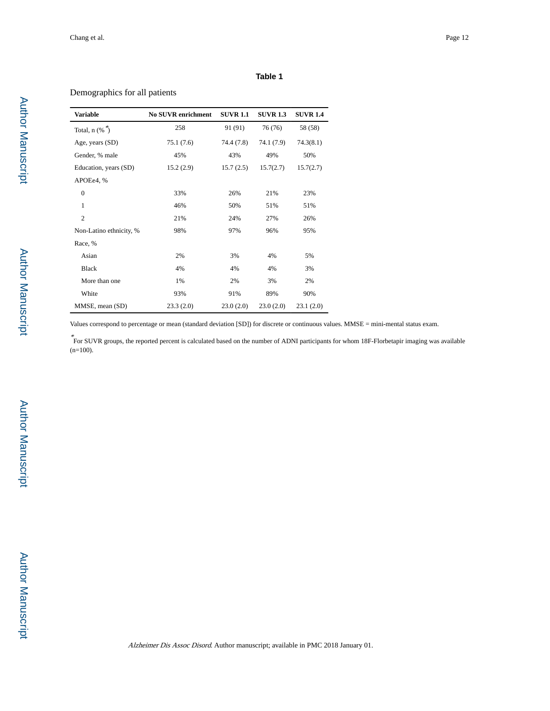#### **Table 1**

# Demographics for all patients

| <b>Variable</b>             | <b>No SUVR enrichment</b> | <b>SUVR 1.1</b> | <b>SUVR 1.3</b> | <b>SUVR 1.4</b> |
|-----------------------------|---------------------------|-----------------|-----------------|-----------------|
| Total, $n$ (% $\tilde{ }$ ) | 258                       | 91 (91)         | 76 (76)         | 58 (58)         |
| Age, years (SD)             | 75.1 (7.6)                | 74.4 (7.8)      | 74.1 (7.9)      | 74.3(8.1)       |
| Gender, % male              | 45%                       | 43%             | 49%             | 50%             |
| Education, years (SD)       | 15.2(2.9)                 | 15.7(2.5)       | 15.7(2.7)       | 15.7(2.7)       |
| APOEe4, %                   |                           |                 |                 |                 |
| $\overline{0}$              | 33%                       | 26%             | 21%             | 23%             |
| 1                           | 46%                       | 50%             | 51%             | 51%             |
| $\overline{c}$              | 21%                       | 24%             | 27%             | 26%             |
| Non-Latino ethnicity, %     | 98%                       | 97%             | 96%             | 95%             |
| Race, %                     |                           |                 |                 |                 |
| Asian                       | 2%                        | 3%              | 4%              | 5%              |
| <b>Black</b>                | 4%                        | 4%              | 4%              | 3%              |
| More than one               | 1%                        | 2%              | 3%              | 2%              |
| White                       | 93%                       | 91%             | 89%             | 90%             |
| MMSE, mean (SD)             | 23.3(2.0)                 | 23.0(2.0)       | 23.0(2.0)       | 23.1(2.0)       |

Values correspond to percentage or mean (standard deviation [SD]) for discrete or continuous values. MMSE = mini-mental status exam.

\* For SUVR groups, the reported percent is calculated based on the number of ADNI participants for whom 18F-Florbetapir imaging was available  $(n=100)$ .

Author Manuscript

**Author Manuscript** 

Author Manuscript

**Author Manuscript**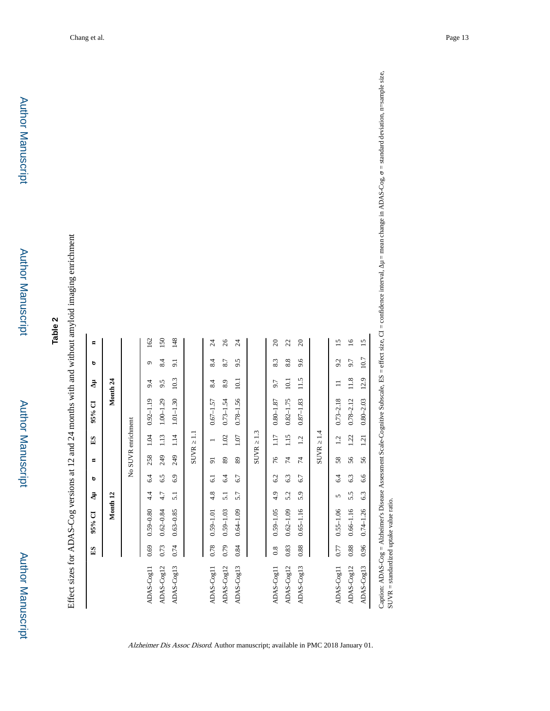Author Manuscript

Author Manuscript

Author Manuscript

Author Manuscript

Effect sizes for ADAS-Cog versions at 12 and 24 months with and without amyloid imaging enrichment Effect sizes for ADAS-Cog versions at 12 and 24 months with and without amyloid imaging enrichment

|            | ES   | $95%$ CI      | ユ                | ь   | $\blacksquare$ | ES                 | $95%$ CI      | Ξ.                  | D        | $\blacksquare$  |
|------------|------|---------------|------------------|-----|----------------|--------------------|---------------|---------------------|----------|-----------------|
|            |      | Month 12      |                  |     |                |                    |               | Month <sub>24</sub> |          |                 |
|            |      |               |                  |     |                | No SUVR enrichment |               |                     |          |                 |
| ADAS-Cog11 | 0.69 | $0.59 - 0.80$ | $\ddot{4}$       | 6.4 | 258            | 1.04               | $0.92 - 1.19$ | 9.4                 | $\sigma$ | 162             |
| ADAS-Cog12 | 0.73 | $0.62 - 0.84$ | 4.7              | 6.5 | 249            | 1.13               | $1.00 - 1.29$ | 9.5                 | 8.4      | 150             |
| ADAS-Cog13 | 0.74 | $0.63 - 0.85$ | $\overline{5.1}$ | 6.9 | 249            | 1.14               | $1.01 - 1.30$ | 10.3                | 9.1      | 148             |
|            |      |               |                  |     | <b>SUVR</b>    | $\Xi$              |               |                     |          |                 |
| ADAS-Cog11 | 0.78 | $0.59 - 1.01$ | 4.8              | 5   | 5              |                    | $0.67 - 1.57$ | 8.4                 | 8.4      | $\overline{24}$ |
| ADAS-Cog12 | 0.79 | $0.59 - 1.03$ | $\overline{5.1}$ | 6.4 | 89             | 1.02               | $0.73 - 1.54$ | 8.9                 | 8.7      | 26              |
| ADAS-Cog13 | 0.84 | $0.64 - 1.09$ | 5.7              | 6.7 | 89             | 1.07               | $0.78 - 1.56$ | 10.1                | 9.5      | $\overline{24}$ |
|            |      |               |                  |     | <b>SUVR</b>    | 1.3                |               |                     |          |                 |
| ADAS-Cog11 | 0.8  | $0.59 - 1.05$ | 4.9              | 6.2 | 76             | 1.17               | $0.80 - 1.87$ | 9.7                 | 8.3      | $\Omega$        |
| ADAS-Cog12 | 0.83 | $0.62 - 1.09$ | 5.2              | 6.3 | 74             | 115                | $0.82 - 1.75$ | 10.1                | 8.8      | 22              |
| ADAS-Cog13 | 0.88 | $0.65 - 1.16$ | 5.9              | 6.7 | 74             | 1.2                | $0.87 - 1.83$ | 11.5                | 9.6      | $\Omega$        |
|            |      |               |                  |     | <b>SUVR</b>    | $\overline{14}$    |               |                     |          |                 |
| ADAS-Cog11 | 0.77 | $0.55 - 1.06$ | 5                | 6.4 | 58             | 1.2                | $0.73 - 2.18$ | ።                   | 9.2      | 15              |
| ADAS-Cog12 | 0.88 | $0.66 - 1.16$ | 5.5              | 6.3 | 56             | 1.22               | $0.78 - 2.12$ | 11.8                | 9.7      | $\tilde{a}$     |
| ADAS-Cog13 | 0.96 | $0.74 - 1.26$ | 6.3              | 6.6 | 56             | 1.21               | $0.80 - 2.03$ | 12.9                | 10.7     | $\overline{15}$ |
|            |      |               |                  |     |                |                    |               |                     |          |                 |

Alzheimer Dis Assoc Disord. Author manuscript; available in PMC 2018 January 01.

Caption: ADAS-Cog = Alzheimer's Disease Assessment Scale-Cognitive Subscale, ES = effect size, CI = confidence interval,  $\mu$  = mean change in ADAS-Cog,  $\sigma$  = standard deviation, n=sample size, SUVR = standard prake valu Caption: ADAS-Cog = Alzheimer's Disease Assessment Scale-Cognitive Subscale, ES = effect size, CI = confidence interval, μ = mean change in ADAS-Cog, σ = standard deviation, n=sample size, SUVR = standardized uptake value ratio.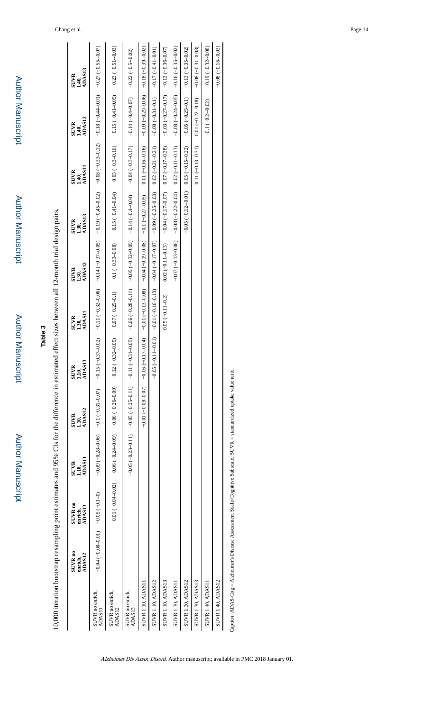Author Manuscript Author Manuscript

Author Manuscript

**Author Manuscript** 

**Table 3**

Author Manuscript

**Author Manuscript** 

Author Manuscript

Author Manuscript

10,000 iteration bootstrap resampling point estimates and 95% CIs for the difference in estimated effect sizes between all 12-month trial design pairs. 10,000 iteration bootstrap resampling point estimates and 95% CIs for the difference in estimated effect sizes between all 12-month trial design pairs.

|                           | <b>SUVR</b> no<br><b>ADAS12</b><br>enrich,                                                                          | <b>SUVR</b> no<br>ADAS13<br>enrich, | <b>ADAS11</b><br><b>SUVR</b><br>1.10,                                                                | SUVR<br>1.10,<br>ADAS12 | SUVR<br>1.10,<br>ADAS13 | 1.30,<br>ADAS11<br><b>SUVR</b>                                                                                                                      | SUVR<br>1.30,<br>ADAS12 | SUVR<br>1.30,<br>ADAS13                            | SUVR<br>1.40,<br>ADAS11                                              | SUVR<br>1.40,<br>ADAS12                                                                              | SUVR<br>1.40,<br>ADAS13 |
|---------------------------|---------------------------------------------------------------------------------------------------------------------|-------------------------------------|------------------------------------------------------------------------------------------------------|-------------------------|-------------------------|-----------------------------------------------------------------------------------------------------------------------------------------------------|-------------------------|----------------------------------------------------|----------------------------------------------------------------------|------------------------------------------------------------------------------------------------------|-------------------------|
| SUVR no enrich,<br>ADAS11 | $(0-1.0-0.00)$ $(0.00-0.00)$ $(0.00-0.00)$ $(0.00)$                                                                 |                                     |                                                                                                      |                         |                         | (LO10-5510-1) LZIO- (IOIO-4710-1 (ZIIO-5510-) 8010- (ZOIO-5710-1 SOIO-2510-1 (9010-7510-1 IIO- (ZOIO-1510-1 - (LOIO-1510-1 IIO- (DOIO-8810-1 8010-1 |                         |                                                    |                                                                      |                                                                                                      |                         |
| SUVR no enrich,<br>ADAS12 |                                                                                                                     |                                     | (8010-EE10-110-)110-6710-) L010-(5010-EE10-21110-(6010-9210-)9010-(6010-4210-)9010-(2010-4010-)1010- |                         |                         |                                                                                                                                                     |                         |                                                    | (600-15'0-) SCO- (600-17'0-) STO- (91'0-5'0-) SOO- (40'0-17'0-) STO- |                                                                                                      |                         |
| SUVR no enrich,<br>ADAS13 |                                                                                                                     |                                     |                                                                                                      |                         |                         | (2010-S10− (LOIO+FO-) HIO− (LIO-E1O− (HOIO+FO-) HIO− (60'0-CEIO-) 60'0− (IIO+82'O-) 90'0− (SOIO-IEIO− (IIO-E2'O-) 50'O− (IIO+E2'O-) 90'O−           |                         |                                                    |                                                                      |                                                                                                      |                         |
| <b>SUVR 1.10, ADAS11</b>  |                                                                                                                     |                                     |                                                                                                      |                         |                         | (SO'0-LZ'0-) I'0- (80'0-6I'0-) HO'0- (80'0-EI'0-) IO'0- (HO'0-LI'0-) 90'0- (LO'0-60'0-) IO'0-                                                       |                         |                                                    | $0.01( -0.16 - 0.16)$                                                | (2010-6510-1 8110-1 - 0010-6210-1 8010-1 - 0010-1 - 0010-1 - 0010-1 - 0010-1 - 0010-1 - 0010-1 - 001 |                         |
| <b>SUVR 1.10, ADAS12</b>  |                                                                                                                     |                                     |                                                                                                      |                         | $-0.05(-0.11 - 0.01)$   | $-0.01(-0.16-0.13)$                                                                                                                                 | $-0.04 (-0.17 - 0.07)$  | $-0.09(-0.25-0.03)$                                | $0.02(-0.21-0.21)$                                                   | $-0.08(-0.31-0.1)$                                                                                   | $-0.17(-0.41 - 0.01)$   |
| <b>SUVR 1.10, ADAS13</b>  |                                                                                                                     |                                     |                                                                                                      |                         |                         | $0.05(-0.11-0.2)$                                                                                                                                   | $0.02(-0.11 - 0.13)$    | $-0.07 - 0.17 - 0.07$ (0.00 (100 - 11.0 - 12.0 )   |                                                                      | $-0.03(-0.27-0.17)$ $-0.170+0.36-0.36$                                                               |                         |
| <b>SUVR 1.30, ADAS11</b>  |                                                                                                                     |                                     |                                                                                                      |                         |                         |                                                                                                                                                     |                         | (s10-110-) 2010 (b00-2210-) 8010-0000-s110-) s010- |                                                                      | $-0.08(-0.24-0.5)$ $-0.16(-0.35-0.35)$                                                               |                         |
| <b>SUVR 1.30, ADAS12</b>  |                                                                                                                     |                                     |                                                                                                      |                         |                         |                                                                                                                                                     |                         | $-0.05 (-0.12 - 0.01)$ 0.05 $(-0.15 - 0.22)$       |                                                                      | $-0.05(-0.25-0.1)$                                                                                   | $-0.13(-0.35-0.02)$     |
| <b>SUVR 1.30, ADAS13</b>  |                                                                                                                     |                                     |                                                                                                      |                         |                         |                                                                                                                                                     |                         |                                                    | $0.11(-0.13-0.31)$                                                   | $0.01 (-0.22 - 0.18)$                                                                                | $-0.08(-0.31-0.08)$     |
| SUVR 1.40, ADAS11         |                                                                                                                     |                                     |                                                                                                      |                         |                         |                                                                                                                                                     |                         |                                                    |                                                                      | $-0.1(-0.2 - 0.02)$                                                                                  | $-0.19(-0.32 - 0.08)$   |
| <b>SUVR 1.40, ADAS12</b>  |                                                                                                                     |                                     |                                                                                                      |                         |                         |                                                                                                                                                     |                         |                                                    |                                                                      |                                                                                                      | $-0.08(-0.16-0.03)$     |
|                           | Caption: ADAS-Cog = Alzheimer's Disease Assessment Scale-Cognitive Subscale, SUVR = standardized uptake value ratio |                                     |                                                                                                      |                         |                         |                                                                                                                                                     |                         |                                                    |                                                                      |                                                                                                      |                         |